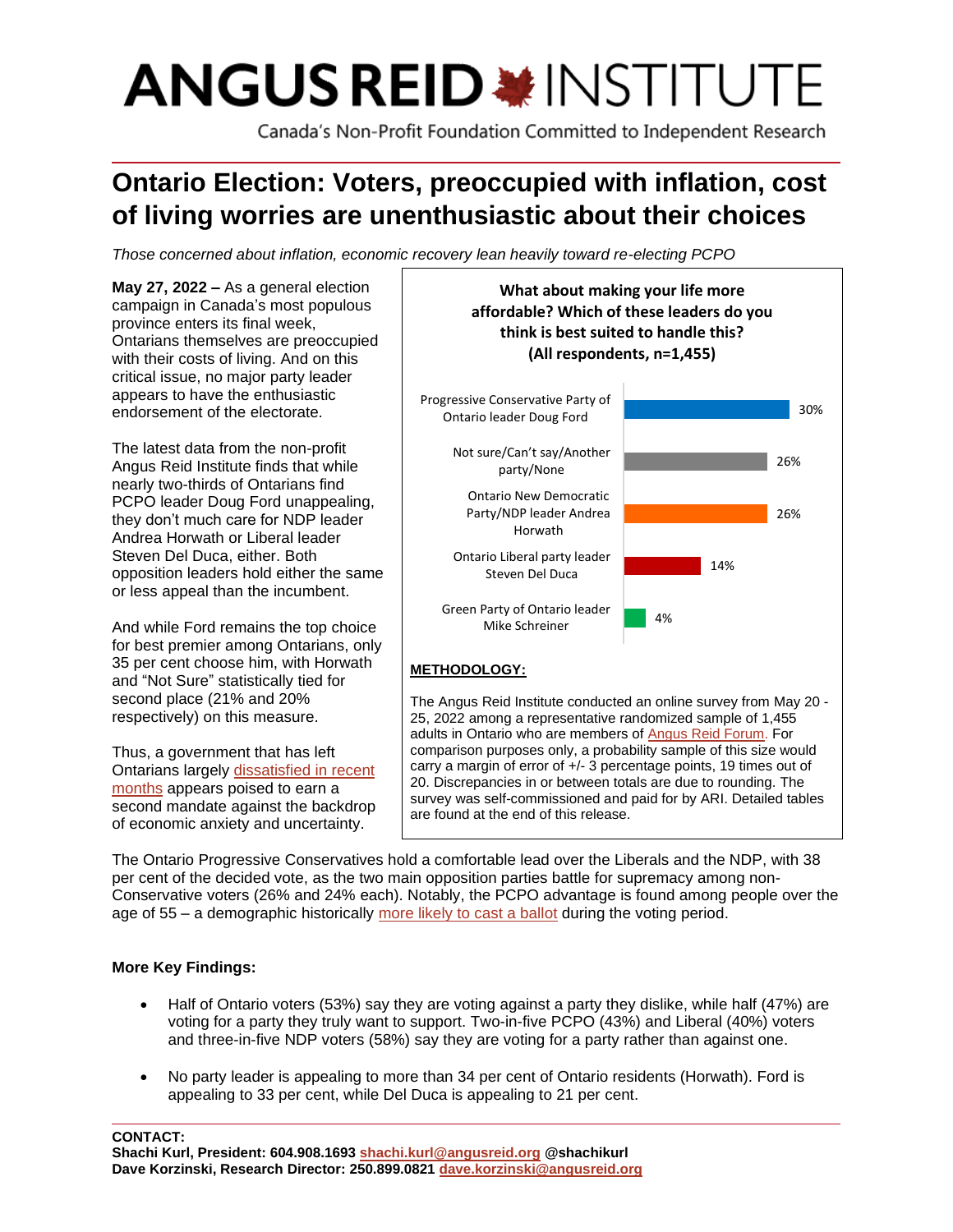# **ANGUS REID \*INSTITUTE**

Canada's Non-Profit Foundation Committed to Independent Research

# **Ontario Election: Voters, preoccupied with inflation, cost of living worries are unenthusiastic about their choices**

*Those concerned about inflation, economic recovery lean heavily toward re-electing PCPO*

**May 27, 2022 –** As a general election campaign in Canada's most populous province enters its final week, Ontarians themselves are preoccupied with their costs of living. And on this critical issue, no major party leader appears to have the enthusiastic endorsement of the electorate. The latest data from the non-profit Angus Reid Institute finds that while nearly two-thirds of Ontarians find PCPO leader Doug Ford unappealing, they don't much care for NDP leader Andrea Horwath or Liberal leader Steven Del Duca, either. Both opposition leaders hold either the same or less appeal than the incumbent. And while Ford remains the top choice for best premier among Ontarians, only 35 per cent choose him, with Horwath and "Not Sure" statistically tied for second place (21% and 20% respectively) on this measure. Thus, a government that has left Ontarians largely [dissatisfied in recent](https://angusreid.org/premiers-performance-march/)  [months](https://angusreid.org/premiers-performance-march/) appears poised to earn a **METHODOLOGY:** The Angus Reid Institute conducted an online survey from May 20 - 25, 2022 among a representative randomized sample of 1,455 adults in Ontario who are members of [Angus](http://www.angusreidforum.com/) Reid Forum. For comparison purposes only, a probability sample of this size would carry a margin of error of +/- 3 percentage points, 19 times out of 20. Discrepancies in or between totals are due to rounding. The 4% 14% 26% 26% 30% Green Party of Ontario leader Mike Schreiner Ontario Liberal party leader Steven Del Duca Ontario New Democratic Party/NDP leader Andrea Horwath Not sure/Can't say/Another party/None Progressive Conservative Party of Ontario leader Doug Ford **What about making your life more affordable? Which of these leaders do you think is best suited to handle this? (All respondents, n=1,455)**

The Ontario Progressive Conservatives hold a comfortable lead over the Liberals and the NDP, with 38 per cent of the decided vote, as the two main opposition parties battle for supremacy among non-Conservative voters (26% and 24% each). Notably, the PCPO advantage is found among people over the age of 55 – a demographic historically [more likely to cast a ballot](https://www150.statcan.gc.ca/n1/daily-quotidien/220216/t001d-eng.htm) during the voting period.

are found at the end of this release.

survey was self-commissioned and paid for by ARI. Detailed tables

# **More Key Findings:**

second mandate against the backdrop of economic anxiety and uncertainty.

- Half of Ontario voters (53%) say they are voting against a party they dislike, while half (47%) are voting for a party they truly want to support. Two-in-five PCPO (43%) and Liberal (40%) voters and three-in-five NDP voters (58%) say they are voting for a party rather than against one.
- No party leader is appealing to more than 34 per cent of Ontario residents (Horwath). Ford is appealing to 33 per cent, while Del Duca is appealing to 21 per cent.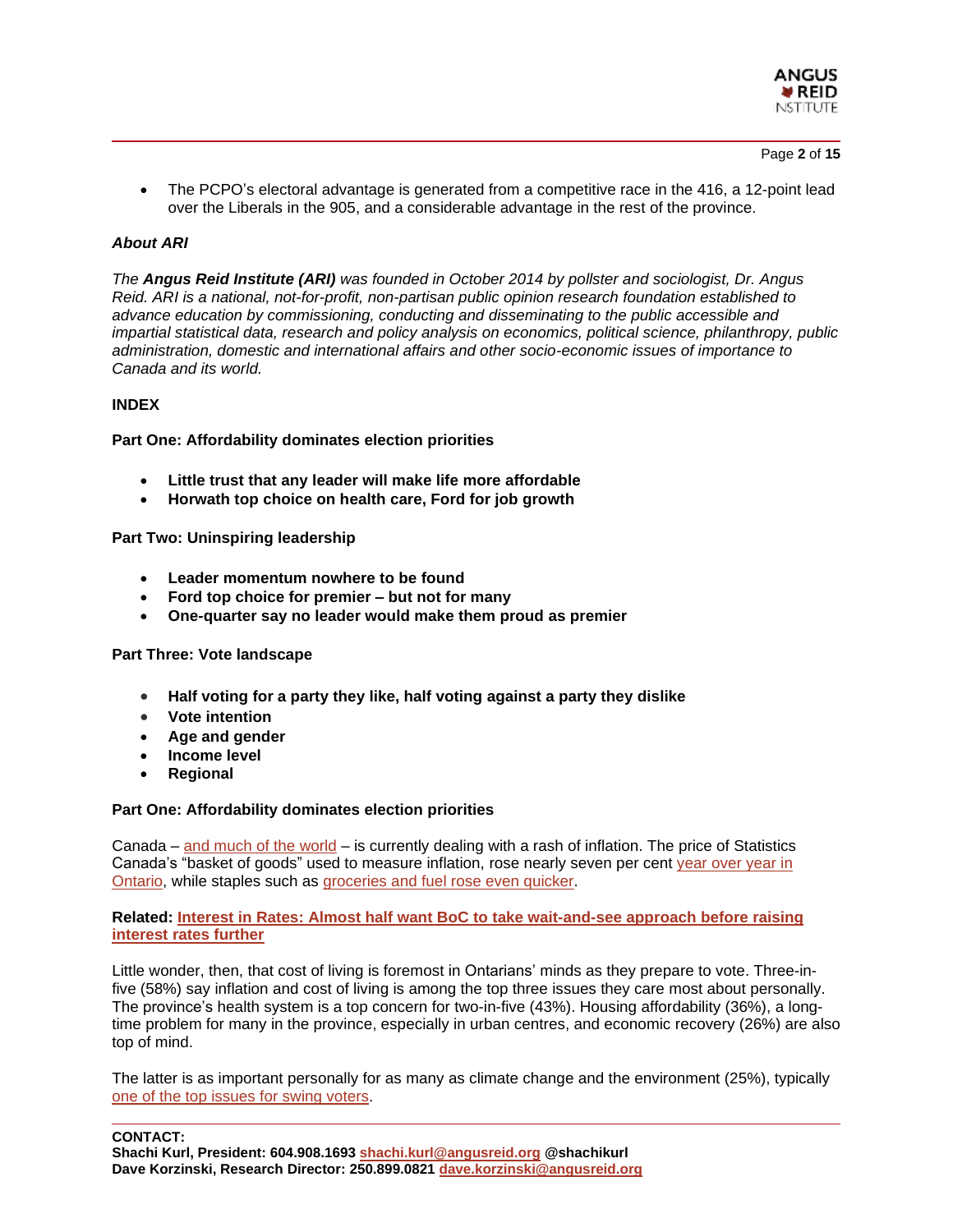

Page **2** of **15**

• The PCPO's electoral advantage is generated from a competitive race in the 416, a 12-point lead over the Liberals in the 905, and a considerable advantage in the rest of the province.

# *About ARI*

*The Angus Reid Institute (ARI) was founded in October 2014 by pollster and sociologist, Dr. Angus Reid. ARI is a national, not-for-profit, non-partisan public opinion research foundation established to advance education by commissioning, conducting and disseminating to the public accessible and impartial statistical data, research and policy analysis on economics, political science, philanthropy, public administration, domestic and international affairs and other socio-economic issues of importance to Canada and its world.*

#### **INDEX**

**Part One: Affordability dominates election priorities**

- **Little trust that any leader will make life more affordable**
- **Horwath top choice on health care, Ford for job growth**

**Part Two: Uninspiring leadership**

- **Leader momentum nowhere to be found**
- **Ford top choice for premier – but not for many**
- **One-quarter say no leader would make them proud as premier**

#### **Part Three: Vote landscape**

- **Half voting for a party they like, half voting against a party they dislike**
- **Vote intention**
- **Age and gender**
- **Income level**
- **Regional**

#### **Part One: Affordability dominates election priorities**

Canada – and [much](https://www.cnbc.com/2022/05/26/davos-financiers-met-up-in-the-swiss-alps-and-the-mood-was-terrible.html) of the world – is currently dealing with a rash of inflation. The price of Statistics Canada's "basket of goods" used to measure inflation, rose nearly seven per cent year [over](https://www150.statcan.gc.ca/n1/daily-quotidien/220518/dq220518a-eng.htm) year in [Ontario,](https://www150.statcan.gc.ca/n1/daily-quotidien/220518/dq220518a-eng.htm) while staples such as [groceries](https://angusreid.org/bank-of-canada-inflation-interest-rates/) and fuel rose even quicker.

#### **Related: Interest in Rates: Almost half want BoC to take [wait-and-see](https://angusreid.org/bank-of-canada-inflation-interest-rates/) approach before raising [interest](https://angusreid.org/bank-of-canada-inflation-interest-rates/) rates further**

Little wonder, then, that cost of living is foremost in Ontarians' minds as they prepare to vote. Three-infive (58%) say inflation and cost of living is among the top three issues they care most about personally. The province's health system is a top concern for two-in-five (43%). Housing affordability (36%), a longtime problem for many in the province, especially in urban centres, and economic recovery (26%) are also top of mind.

The latter is as important personally for as many as climate change and the environment (25%), typically one of the top issues for swing [voters.](https://angusreid.org/environment-climate-change/)

#### **CONTACT:**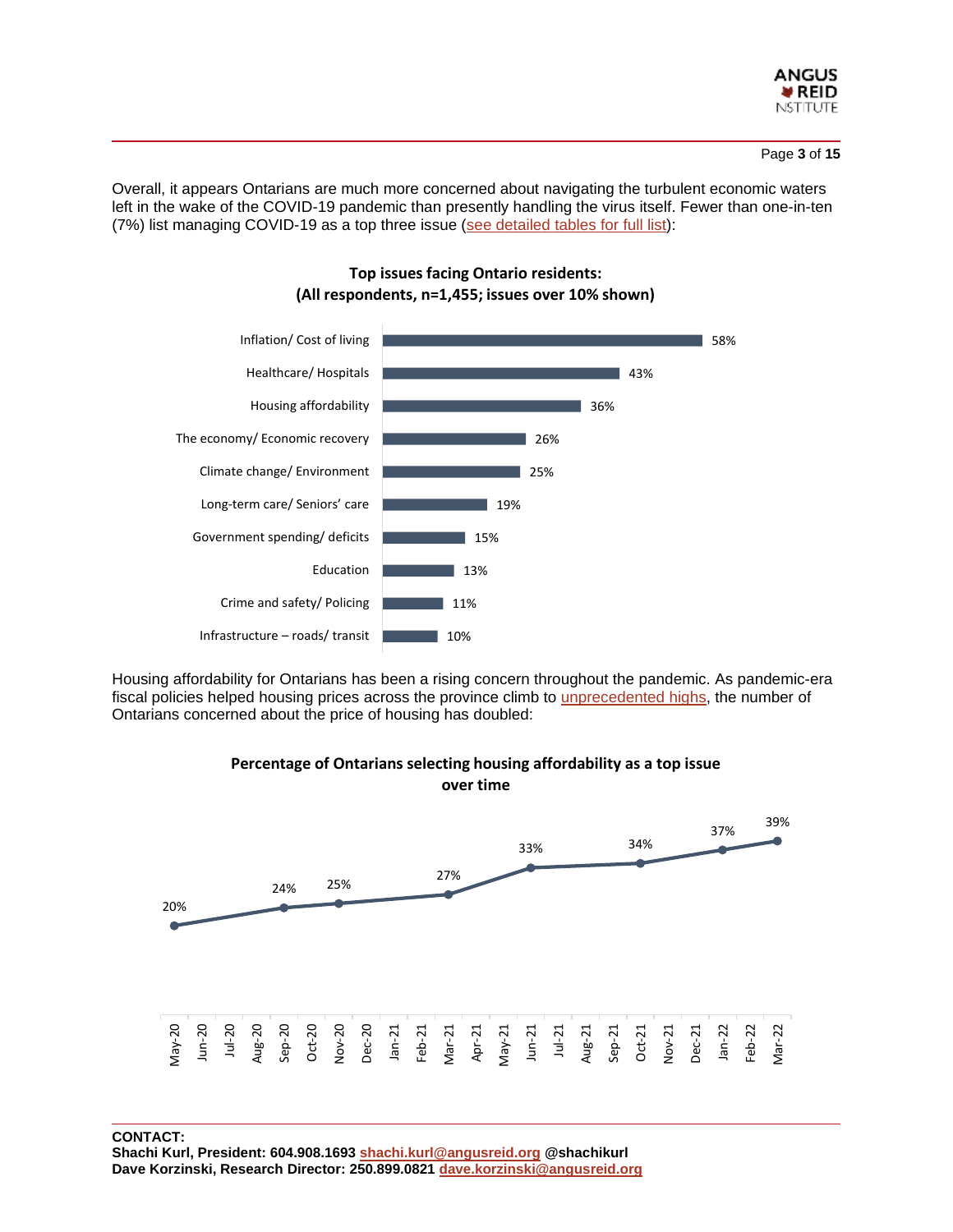

Overall, it appears Ontarians are much more concerned about navigating the turbulent economic waters left in the wake of the COVID-19 pandemic than presently handling the virus itself. Fewer than one-in-ten (7%) list managing COVID-19 as a top three issue (see [detailed](https://angusreid.org/wp-content/uploads/2022/05/2022.05.27_ON_Elxn_tables.pdf) tables for full list):



# **Top issues facing Ontario residents: (All respondents, n=1,455; issues over 10% shown)**

Housing affordability for Ontarians has been a rising concern throughout the pandemic. As pandemic-era fiscal policies helped housing prices across the province climb to [unprecedented](https://financialpost.com/real-estate/toronto-home-prices-climb-in-january-following-record-breaking-sales-in-2021) highs, the number of Ontarians concerned about the price of housing has doubled:



# **Percentage of Ontarians selecting housing affordability as a top issue**

**CONTACT:** 

**Shachi Kurl, President: 604.908.1693 [shachi.kurl@angusreid.org](mailto:shachi.kurl@angusreid.org) @shachikurl Dave Korzinski, Research Director: 250.899.0821 [dave.korzinski@angusreid.org](mailto:dave.korzinski@angusreid.org)**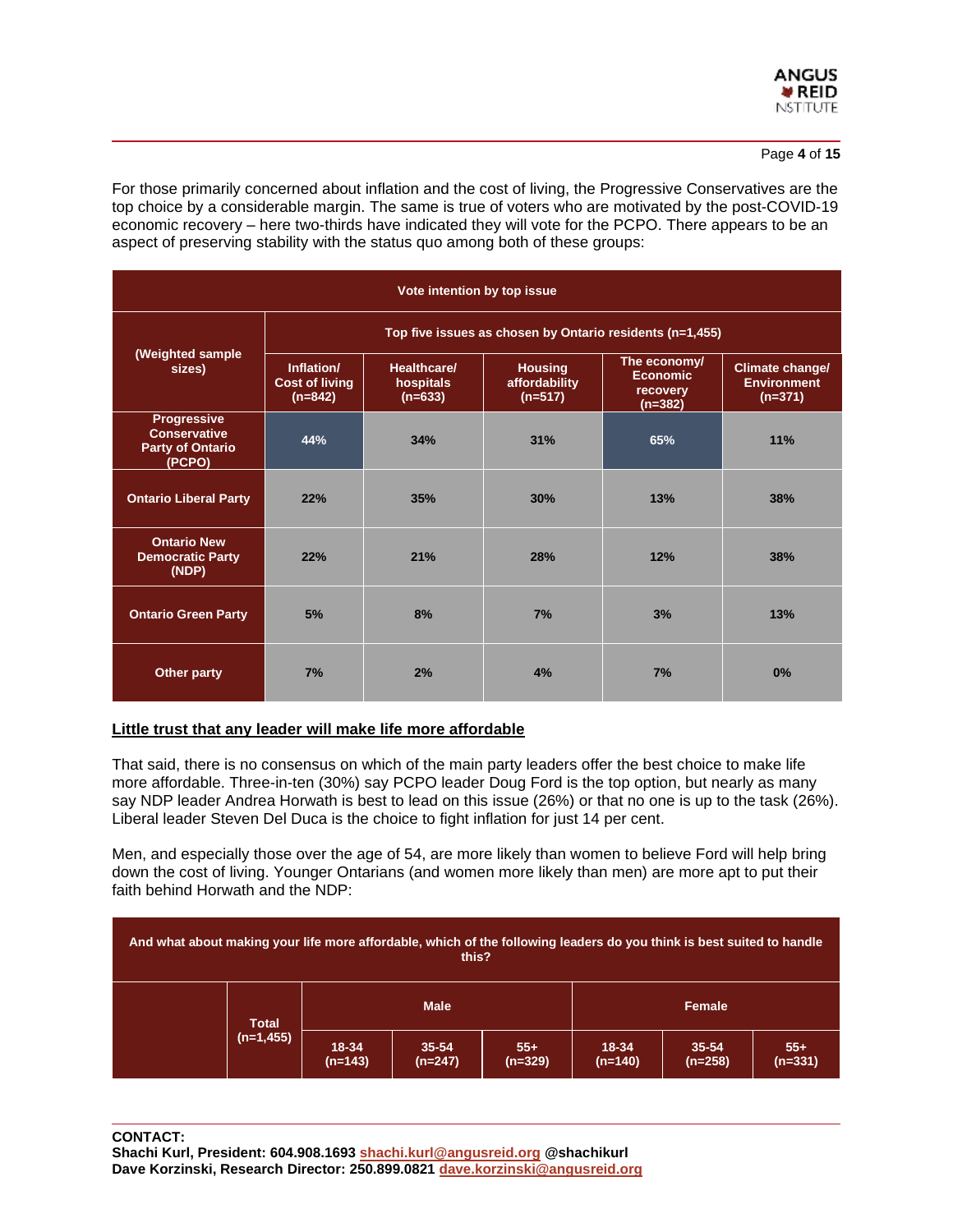

For those primarily concerned about inflation and the cost of living, the Progressive Conservatives are the top choice by a considerable margin. The same is true of voters who are motivated by the post-COVID-19 economic recovery – here two-thirds have indicated they will vote for the PCPO. There appears to be an aspect of preserving stability with the status quo among both of these groups:

| Vote intention by top issue                                                    |                                                          |                                                                                       |            |                                                          |                                                           |  |  |  |  |
|--------------------------------------------------------------------------------|----------------------------------------------------------|---------------------------------------------------------------------------------------|------------|----------------------------------------------------------|-----------------------------------------------------------|--|--|--|--|
| (Weighted sample<br>sizes)                                                     | Top five issues as chosen by Ontario residents (n=1,455) |                                                                                       |            |                                                          |                                                           |  |  |  |  |
|                                                                                | Inflation/<br><b>Cost of living</b><br>$(n=842)$         | Healthcare/<br><b>Housing</b><br>affordability<br>hospitals<br>$(n=633)$<br>$(n=517)$ |            | The economy/<br><b>Economic</b><br>recovery<br>$(n=382)$ | <b>Climate change/</b><br><b>Environment</b><br>$(n=371)$ |  |  |  |  |
| <b>Progressive</b><br><b>Conservative</b><br><b>Party of Ontario</b><br>(PCPO) | 44%                                                      | 34%                                                                                   | 31%        | 65%                                                      | 11%                                                       |  |  |  |  |
| <b>Ontario Liberal Party</b>                                                   | 22%                                                      | 35%                                                                                   | 30%        | 13%                                                      | 38%                                                       |  |  |  |  |
| <b>Ontario New</b><br><b>Democratic Party</b><br>(NDP)                         | 22%                                                      | 21%                                                                                   | <b>28%</b> | 12%                                                      | 38%                                                       |  |  |  |  |
| <b>Ontario Green Party</b>                                                     | 5%                                                       | 8%                                                                                    | 7%         | 3%                                                       | 13%                                                       |  |  |  |  |
| Other party                                                                    | 7%                                                       | 2%                                                                                    | 4%         | 7%                                                       | 0%                                                        |  |  |  |  |

# **Little trust that any leader will make life more affordable**

That said, there is no consensus on which of the main party leaders offer the best choice to make life more affordable. Three-in-ten (30%) say PCPO leader Doug Ford is the top option, but nearly as many say NDP leader Andrea Horwath is best to lead on this issue (26%) or that no one is up to the task (26%). Liberal leader Steven Del Duca is the choice to fight inflation for just 14 per cent.

Men, and especially those over the age of 54, are more likely than women to believe Ford will help bring down the cost of living. Younger Ontarians (and women more likely than men) are more apt to put their faith behind Horwath and the NDP:

| And what about making your life more affordable, which of the following leaders do you think is best suited to handle<br>this? |              |                    |                        |                    |                    |                        |                    |
|--------------------------------------------------------------------------------------------------------------------------------|--------------|--------------------|------------------------|--------------------|--------------------|------------------------|--------------------|
|                                                                                                                                | <b>Total</b> | <b>Male</b>        |                        |                    | Female             |                        |                    |
|                                                                                                                                | $(n=1,455)$  | 18-34<br>$(n=143)$ | $35 - 54$<br>$(n=247)$ | $55+$<br>$(n=329)$ | 18-34<br>$(n=140)$ | $35 - 54$<br>$(n=258)$ | $55+$<br>$(n=331)$ |

**CONTACT:** 

**Shachi Kurl, President: 604.908.1693 [shachi.kurl@angusreid.org](mailto:shachi.kurl@angusreid.org) @shachikurl Dave Korzinski, Research Director: 250.899.0821 [dave.korzinski@angusreid.org](mailto:dave.korzinski@angusreid.org)**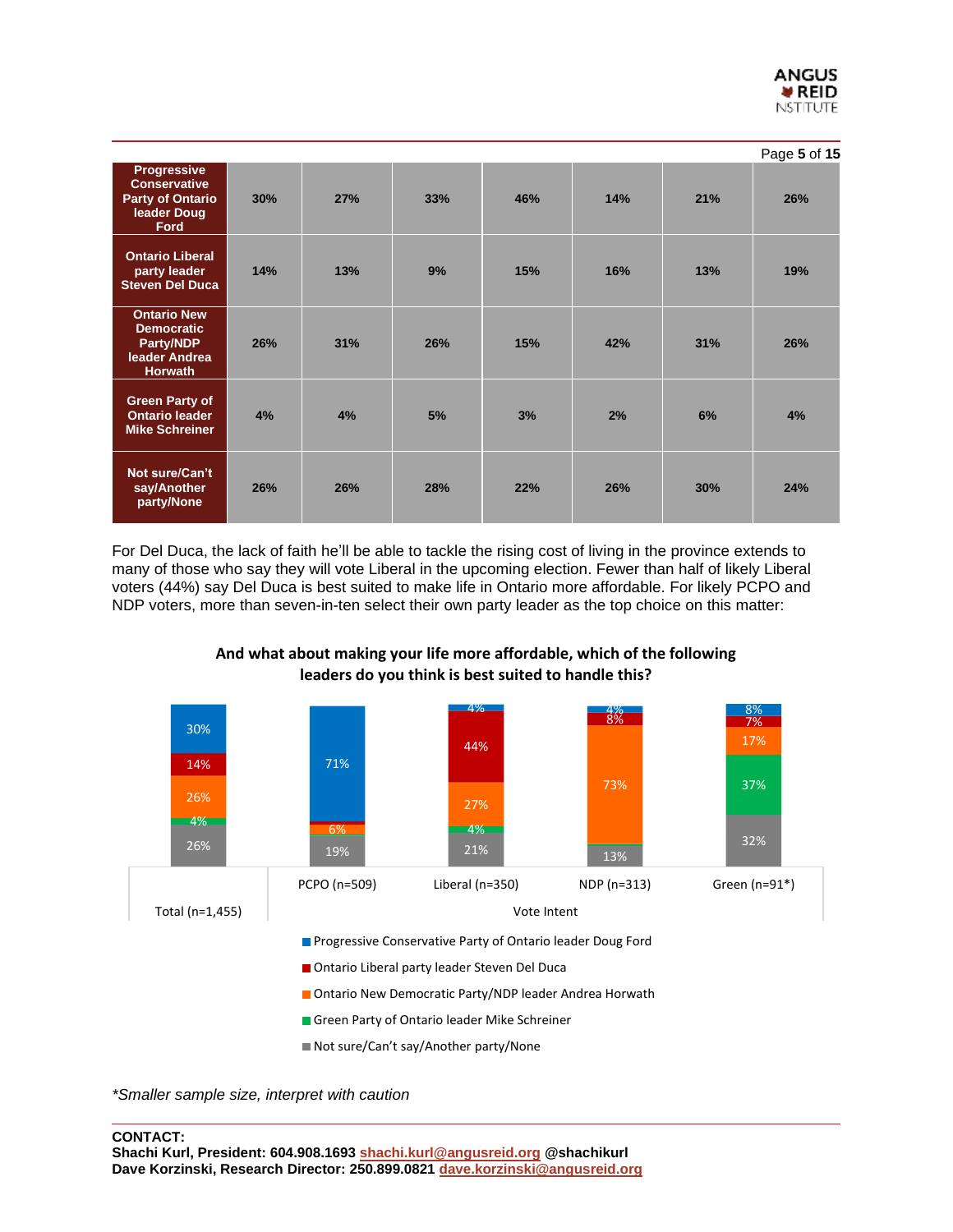|                                                                                             |     |     |     |     |     |     | Page 5 of 15 |
|---------------------------------------------------------------------------------------------|-----|-----|-----|-----|-----|-----|--------------|
| <b>Progressive</b><br><b>Conservative</b><br><b>Party of Ontario</b><br>leader Doug<br>Ford | 30% | 27% | 33% | 46% | 14% | 21% | 26%          |
| <b>Ontario Liberal</b><br>party leader<br><b>Steven Del Duca</b>                            | 14% | 13% | 9%  | 15% | 16% | 13% | 19%          |
| <b>Ontario New</b><br><b>Democratic</b><br>Party/NDP<br>leader Andrea<br>Horwath            | 26% | 31% | 26% | 15% | 42% | 31% | 26%          |
| <b>Green Party of</b><br><b>Ontario leader</b><br><b>Mike Schreiner</b>                     | 4%  | 4%  | 5%  | 3%  | 2%  | 6%  | 4%           |
| Not sure/Can't<br>say/Another<br>party/None                                                 | 26% | 26% | 28% | 22% | 26% | 30% | 24%          |

For Del Duca, the lack of faith he'll be able to tackle the rising cost of living in the province extends to many of those who say they will vote Liberal in the upcoming election. Fewer than half of likely Liberal voters (44%) say Del Duca is best suited to make life in Ontario more affordable. For likely PCPO and NDP voters, more than seven-in-ten select their own party leader as the top choice on this matter:



# **And what about making your life more affordable, which of the following leaders do you think is best suited to handle this?**

*\*Smaller sample size, interpret with caution*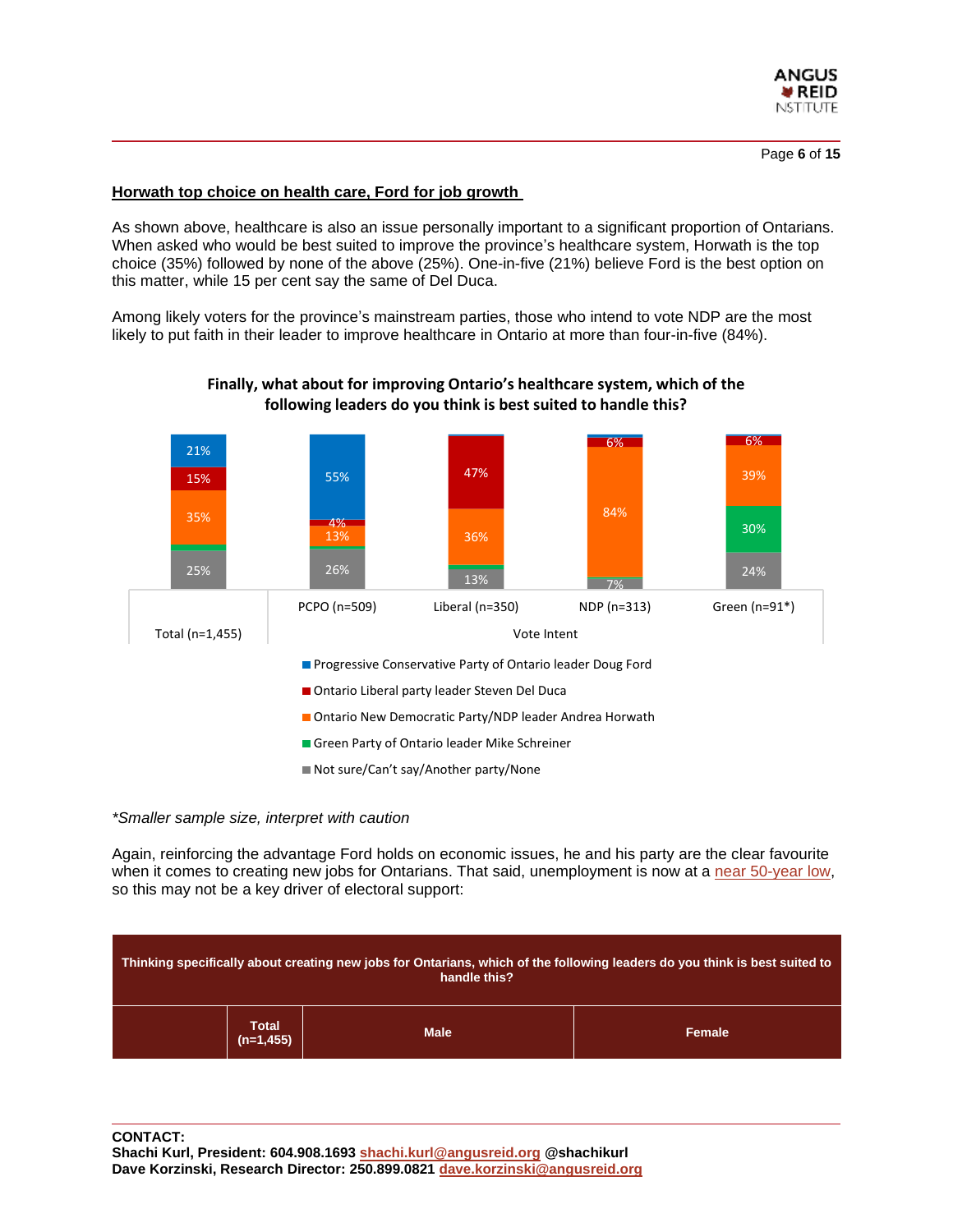

# **Horwath top choice on health care, Ford for job growth**

As shown above, healthcare is also an issue personally important to a significant proportion of Ontarians. When asked who would be best suited to improve the province's healthcare system, Horwath is the top choice (35%) followed by none of the above (25%). One-in-five (21%) believe Ford is the best option on this matter, while 15 per cent say the same of Del Duca.

Among likely voters for the province's mainstream parties, those who intend to vote NDP are the most likely to put faith in their leader to improve healthcare in Ontario at more than four-in-five (84%).



# **Finally, what about for improving Ontario's healthcare system, which of the following leaders do you think is best suited to handle this?**

#### *\*Smaller sample size, interpret with caution*

Again, reinforcing the advantage Ford holds on economic issues, he and his party are the clear favourite when it comes to creating new jobs for Ontarians. That said, unemployment is now at a near [50-year](https://www150.statcan.gc.ca/n1/daily-quotidien/220408/dq220408a-eng.htm#:~:text=Unemployment%20rate%20falls%20to%20record,in%20May%202019%20(5.4%25).) low, so this may not be a key driver of electoral support:

| Thinking specifically about creating new jobs for Ontarians, which of the following leaders do you think is best suited to<br>handle this? |                             |             |        |  |  |  |  |
|--------------------------------------------------------------------------------------------------------------------------------------------|-----------------------------|-------------|--------|--|--|--|--|
|                                                                                                                                            | <b>Total</b><br>$(n=1,455)$ | <b>Male</b> | Female |  |  |  |  |

**CONTACT:** 

**Shachi Kurl, President: 604.908.1693 [shachi.kurl@angusreid.org](mailto:shachi.kurl@angusreid.org) @shachikurl Dave Korzinski, Research Director: 250.899.0821 [dave.korzinski@angusreid.org](mailto:dave.korzinski@angusreid.org)**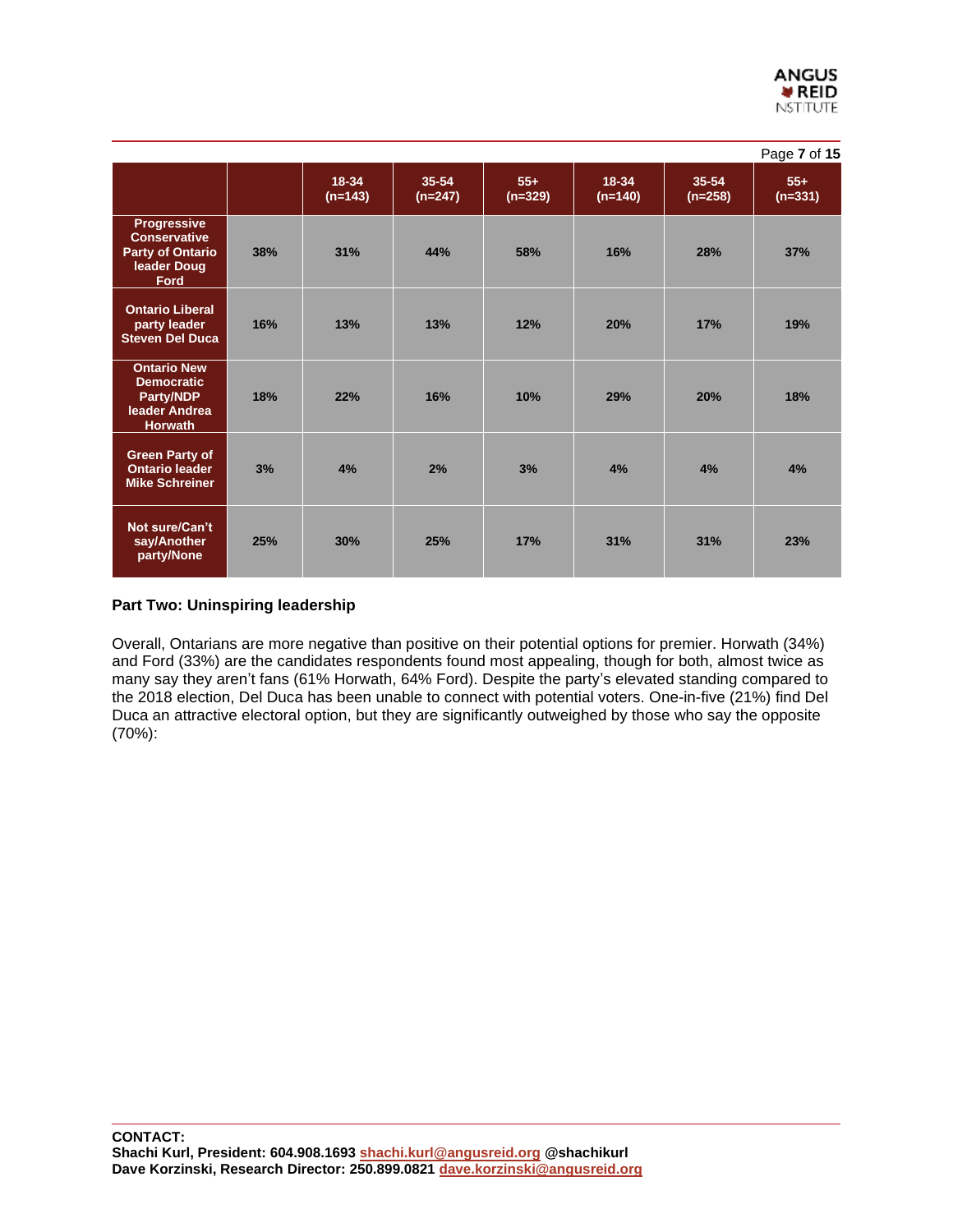|                                                                                                    |     |                    |                    |                    |                    |                    | Page 7 of 15       |
|----------------------------------------------------------------------------------------------------|-----|--------------------|--------------------|--------------------|--------------------|--------------------|--------------------|
|                                                                                                    |     | 18-34<br>$(n=143)$ | 35-54<br>$(n=247)$ | $55+$<br>$(n=329)$ | 18-34<br>$(n=140)$ | 35-54<br>$(n=258)$ | $55+$<br>$(n=331)$ |
| <b>Progressive</b><br><b>Conservative</b><br><b>Party of Ontario</b><br>leader Doug<br><b>Ford</b> | 38% | 31%                | 44%                | 58%                | 16%                | 28%                | 37%                |
| <b>Ontario Liberal</b><br>party leader<br><b>Steven Del Duca</b>                                   | 16% | 13%                | 13%                | 12%                | 20%                | 17%                | 19%                |
| <b>Ontario New</b><br><b>Democratic</b><br><b>Party/NDP</b><br>leader Andrea<br><b>Horwath</b>     | 18% | 22%                | 16%                | 10%                | 29%                | 20%                | 18%                |
| <b>Green Party of</b><br><b>Ontario leader</b><br><b>Mike Schreiner</b>                            | 3%  | 4%                 | 2%                 | 3%                 | 4%                 | 4%                 | 4%                 |
| Not sure/Can't<br>say/Another<br>party/None                                                        | 25% | 30%                | 25%                | 17%                | 31%                | 31%                | 23%                |

# **Part Two: Uninspiring leadership**

Overall, Ontarians are more negative than positive on their potential options for premier. Horwath (34%) and Ford (33%) are the candidates respondents found most appealing, though for both, almost twice as many say they aren't fans (61% Horwath, 64% Ford). Despite the party's elevated standing compared to the 2018 election, Del Duca has been unable to connect with potential voters. One-in-five (21%) find Del Duca an attractive electoral option, but they are significantly outweighed by those who say the opposite (70%):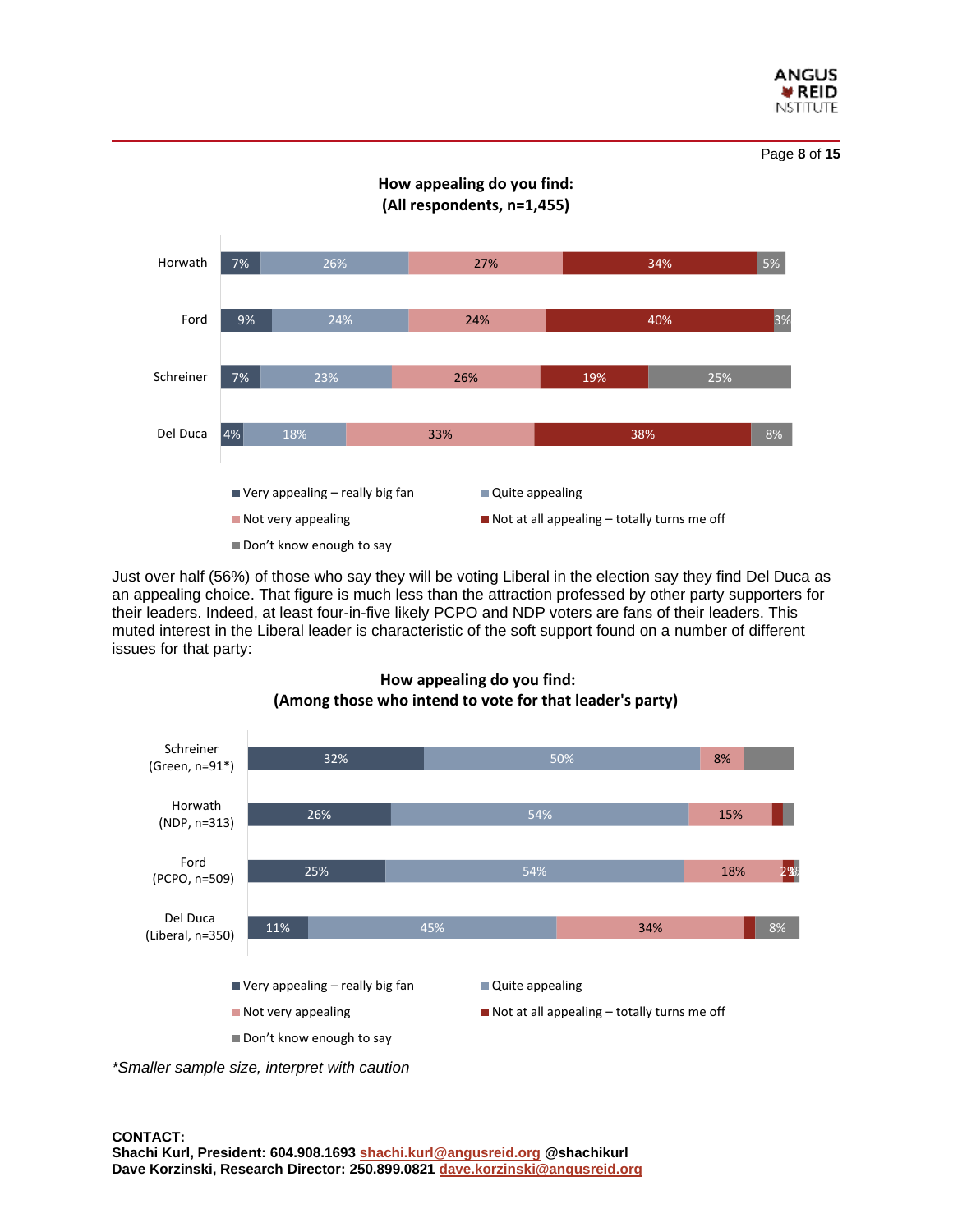



**How appealing do you find: (All respondents, n=1,455)**

Just over half (56%) of those who say they will be voting Liberal in the election say they find Del Duca as an appealing choice. That figure is much less than the attraction professed by other party supporters for their leaders. Indeed, at least four-in-five likely PCPO and NDP voters are fans of their leaders. This muted interest in the Liberal leader is characteristic of the soft support found on a number of different issues for that party:



# **How appealing do you find: (Among those who intend to vote for that leader's party)**

*\*Smaller sample size, interpret with caution*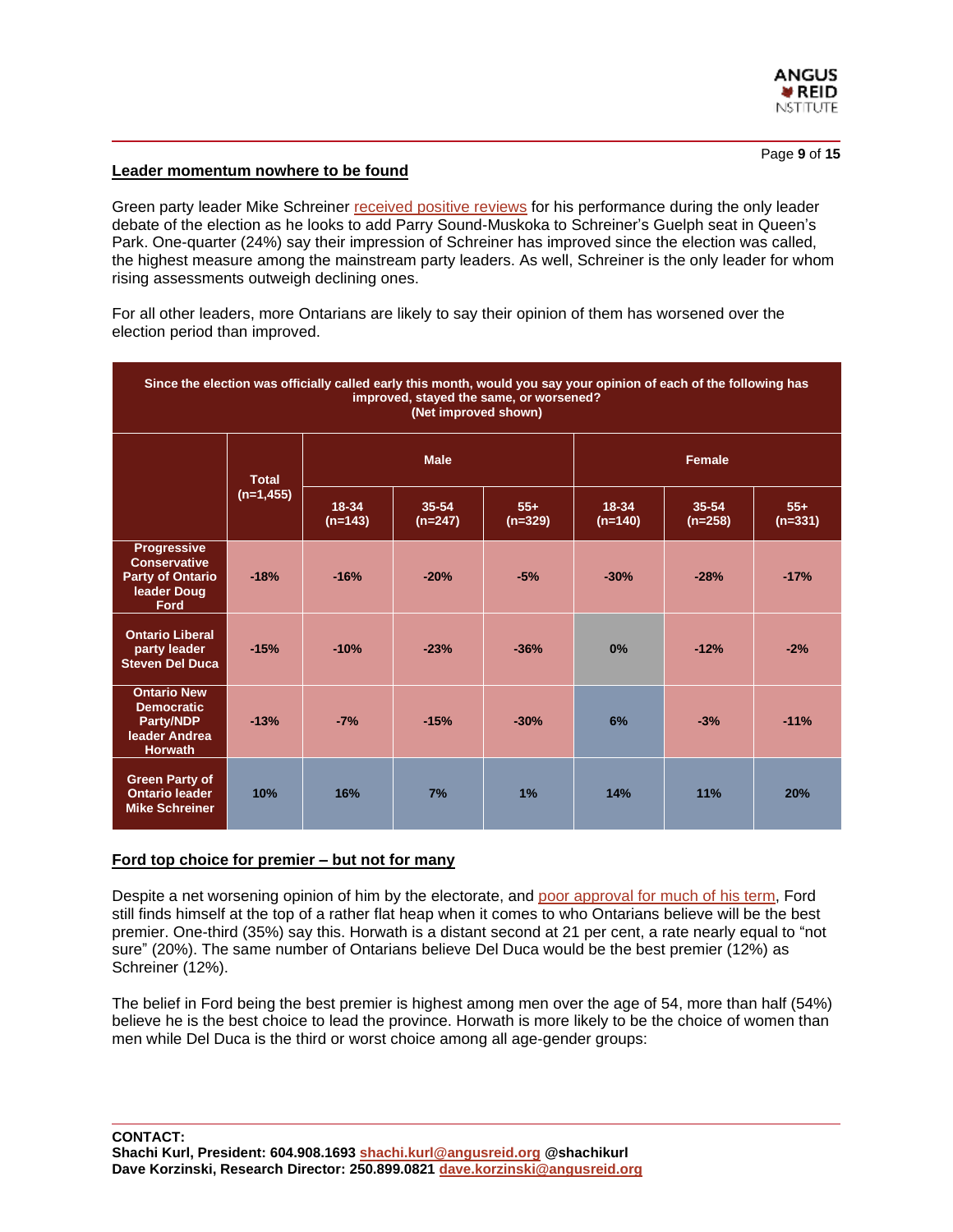

#### **Leader momentum nowhere to be found**

Green party leader Mike Schreiner [received](https://toronto.ctvnews.ca/ontario-greens-seek-to-build-on-schreiner-s-debate-performance-eye-two-ridings-1.5906608) positive reviews for his performance during the only leader debate of the election as he looks to add Parry Sound-Muskoka to Schreiner's Guelph seat in Queen's Park. One-quarter (24%) say their impression of Schreiner has improved since the election was called, the highest measure among the mainstream party leaders. As well, Schreiner is the only leader for whom rising assessments outweigh declining ones.

For all other leaders, more Ontarians are likely to say their opinion of them has worsened over the election period than improved.

| Since the election was officially called early this month, would you say your opinion of each of the following has<br>improved, stayed the same, or worsened?<br>(Net improved shown) |                             |                    |                        |                    |                    |                        |                    |  |  |
|---------------------------------------------------------------------------------------------------------------------------------------------------------------------------------------|-----------------------------|--------------------|------------------------|--------------------|--------------------|------------------------|--------------------|--|--|
|                                                                                                                                                                                       | <b>Total</b><br>$(n=1,455)$ | <b>Male</b>        |                        |                    | Female             |                        |                    |  |  |
|                                                                                                                                                                                       |                             | 18-34<br>$(n=143)$ | $35 - 54$<br>$(n=247)$ | $55+$<br>$(n=329)$ | 18-34<br>$(n=140)$ | $35 - 54$<br>$(n=258)$ | $55+$<br>$(n=331)$ |  |  |
| Progressive<br><b>Conservative</b><br><b>Party of Ontario</b><br>leader Doug<br>Ford                                                                                                  | $-18%$                      | $-16%$             | $-20%$                 | $-5%$              | $-30%$             | $-28%$                 | $-17%$             |  |  |
| <b>Ontario Liberal</b><br>party leader<br><b>Steven Del Duca</b>                                                                                                                      | $-15%$                      | $-10%$             | $-23%$                 | $-36%$             | 0%                 | $-12%$                 | $-2%$              |  |  |
| <b>Ontario New</b><br><b>Democratic</b><br><b>Party/NDP</b><br>leader Andrea<br><b>Horwath</b>                                                                                        | $-13%$                      | $-7%$              | $-15%$                 | $-30%$             | 6%                 | $-3%$                  | $-11%$             |  |  |
| <b>Green Party of</b><br><b>Ontario leader</b><br><b>Mike Schreiner</b>                                                                                                               | 10%                         | 16%                | 7%                     | 1%                 | 14%                | 11%                    | 20%                |  |  |

#### **Ford top choice for premier – but not for many**

Despite a net worsening opinion of him by the electorate, and poor [approval](https://angusreid.org/premiers-performance-march/) for much of his term, Ford still finds himself at the top of a rather flat heap when it comes to who Ontarians believe will be the best premier. One-third (35%) say this. Horwath is a distant second at 21 per cent, a rate nearly equal to "not sure" (20%). The same number of Ontarians believe Del Duca would be the best premier (12%) as Schreiner (12%).

The belief in Ford being the best premier is highest among men over the age of 54, more than half (54%) believe he is the best choice to lead the province. Horwath is more likely to be the choice of women than men while Del Duca is the third or worst choice among all age-gender groups: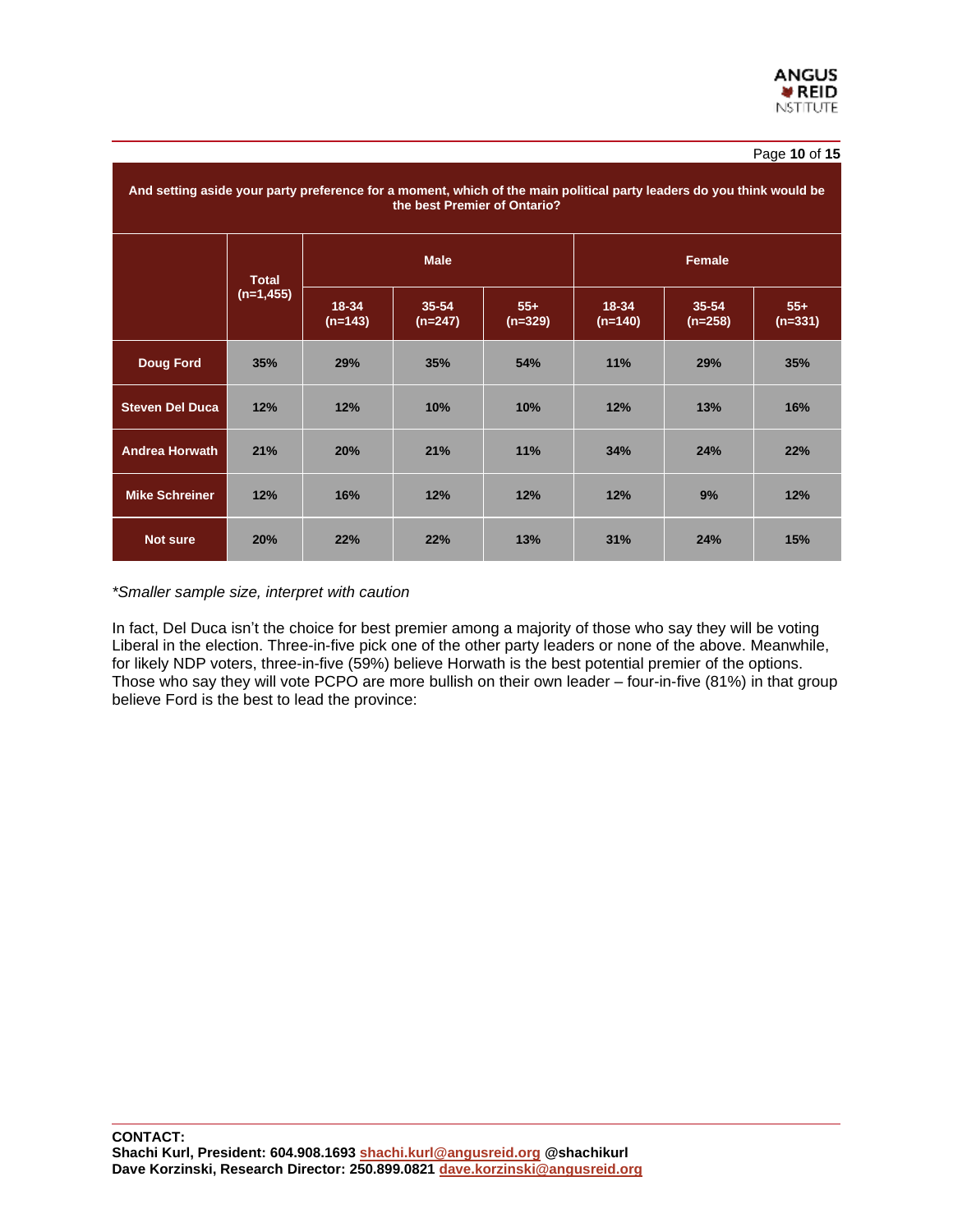# Page **10** of **15**

|                        | And setting aside your party preference for a moment, which of the main political party leaders do you think would be<br>the best Premier of Ontario? |                    |                        |                    |                        |                        |                    |  |  |  |
|------------------------|-------------------------------------------------------------------------------------------------------------------------------------------------------|--------------------|------------------------|--------------------|------------------------|------------------------|--------------------|--|--|--|
|                        | <b>Total</b><br>$(n=1, 455)$                                                                                                                          |                    | <b>Male</b>            |                    |                        | Female                 |                    |  |  |  |
|                        |                                                                                                                                                       | 18-34<br>$(n=143)$ | $35 - 54$<br>$(n=247)$ | $55+$<br>$(n=329)$ | $18 - 34$<br>$(n=140)$ | $35 - 54$<br>$(n=258)$ | $55+$<br>$(n=331)$ |  |  |  |
| <b>Doug Ford</b>       | 35%                                                                                                                                                   | 29%                | 35%                    | 54%                | 11%                    | 29%                    | 35%                |  |  |  |
| <b>Steven Del Duca</b> | 12%                                                                                                                                                   | 12%                | 10%                    | 10%                | 12%                    | 13%                    | 16%                |  |  |  |
| <b>Andrea Horwath</b>  | 21%                                                                                                                                                   | 20%                | 21%                    | 11%                | 34%                    | 24%                    | 22%                |  |  |  |
| <b>Mike Schreiner</b>  | 12%                                                                                                                                                   | 16%                | 12%                    | 12%                | 12%                    | 9%                     | 12%                |  |  |  |
| <b>Not sure</b>        | 20%                                                                                                                                                   | 22%                | 22%                    | 13%                | 31%                    | 24%                    | 15%                |  |  |  |

#### *\*Smaller sample size, interpret with caution*

In fact, Del Duca isn't the choice for best premier among a majority of those who say they will be voting Liberal in the election. Three-in-five pick one of the other party leaders or none of the above. Meanwhile, for likely NDP voters, three-in-five (59%) believe Horwath is the best potential premier of the options. Those who say they will vote PCPO are more bullish on their own leader – four-in-five (81%) in that group believe Ford is the best to lead the province: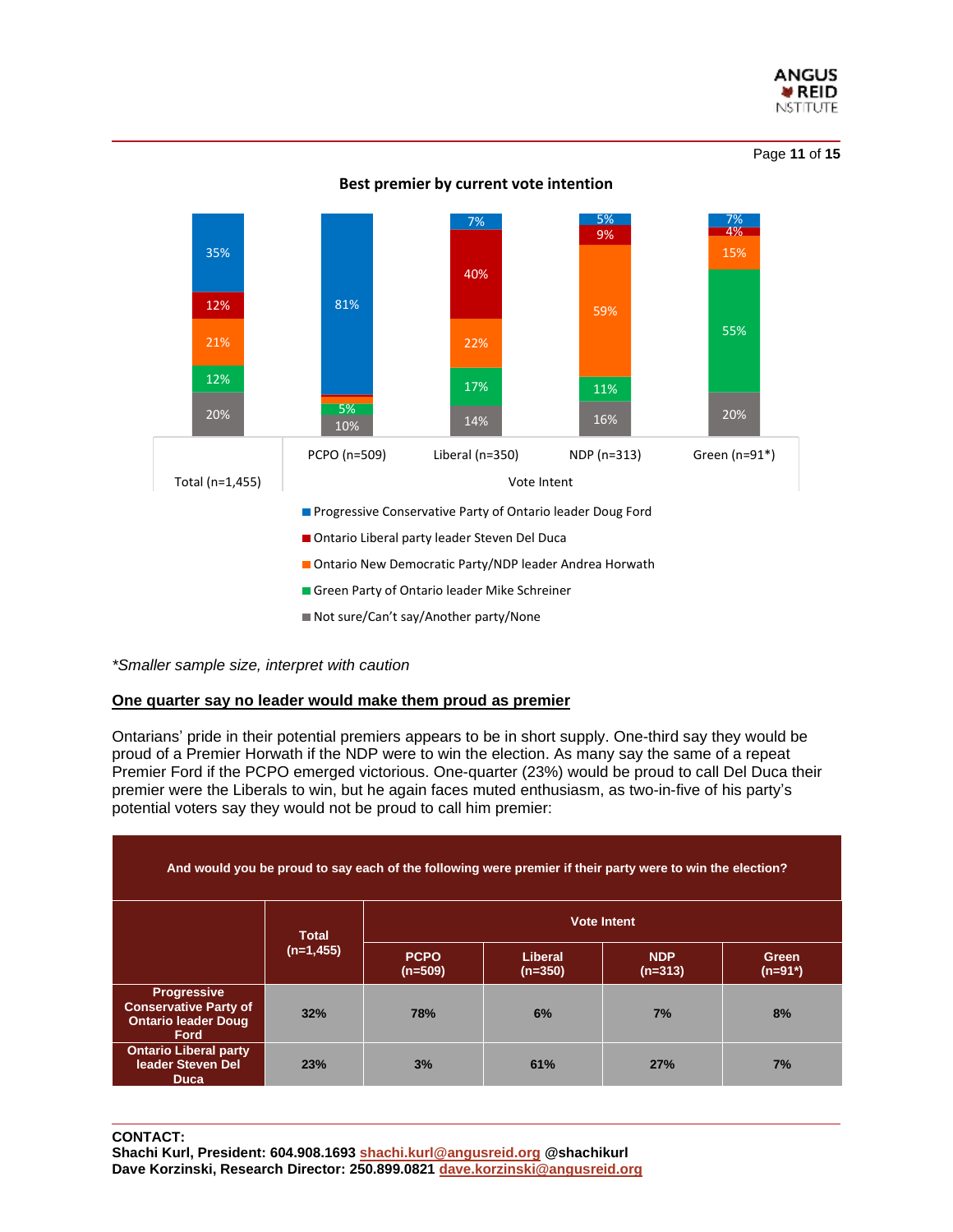

Page **11** of **15**



**Best premier by current vote intention**

*\*Smaller sample size, interpret with caution*

# **One quarter say no leader would make them proud as premier**

Ontarians' pride in their potential premiers appears to be in short supply. One-third say they would be proud of a Premier Horwath if the NDP were to win the election. As many say the same of a repeat Premier Ford if the PCPO emerged victorious. One-quarter (23%) would be proud to call Del Duca their premier were the Liberals to win, but he again faces muted enthusiasm, as two-in-five of his party's potential voters say they would not be proud to call him premier:

| And would you be proud to say each of the following were premier if their party were to win the election? |              |                          |                      |                         |                    |  |  |  |
|-----------------------------------------------------------------------------------------------------------|--------------|--------------------------|----------------------|-------------------------|--------------------|--|--|--|
|                                                                                                           | <b>Total</b> |                          | <b>Vote Intent</b>   |                         |                    |  |  |  |
|                                                                                                           | $(n=1, 455)$ | <b>PCPO</b><br>$(n=509)$ | Liberal<br>$(n=350)$ | <b>NDP</b><br>$(n=313)$ | Green<br>$(n=91*)$ |  |  |  |
| <b>Progressive</b><br><b>Conservative Party of</b><br><b>Ontario leader Doug</b><br><b>Ford</b>           | 32%          | <b>78%</b>               | 6%                   | 7%                      | 8%                 |  |  |  |
| <b>Ontario Liberal party</b><br>leader Steven Del<br><b>Duca</b>                                          | 23%          | 3%                       | 61%                  | 27%                     | 7%                 |  |  |  |

**CONTACT:**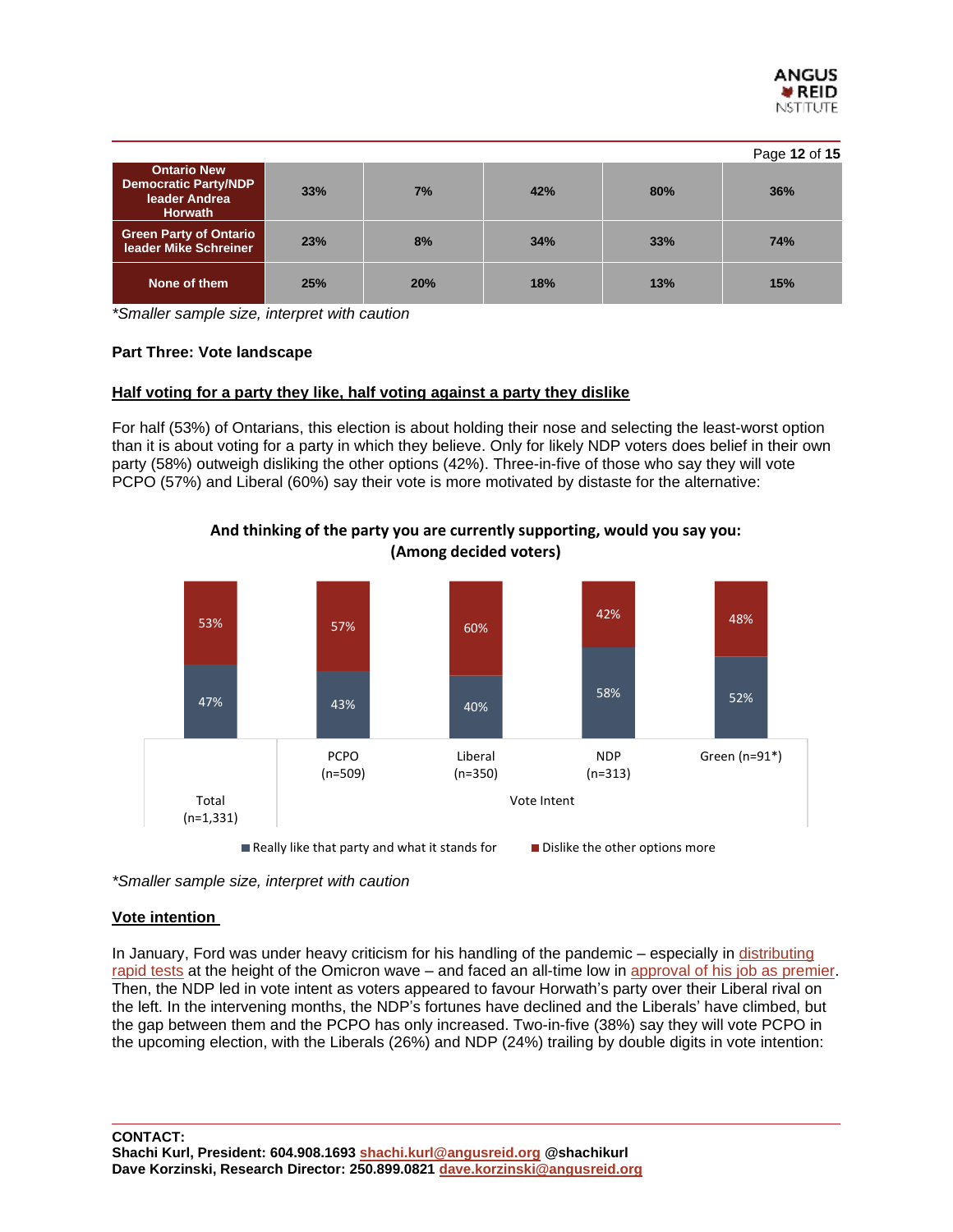

|                                                                                      |     |     |     |     | Page 12 of 15 |
|--------------------------------------------------------------------------------------|-----|-----|-----|-----|---------------|
| <b>Ontario New</b><br><b>Democratic Party/NDP</b><br>leader Andrea<br><b>Horwath</b> | 33% | 7%  | 42% | 80% | 36%           |
| <b>Green Party of Ontario</b><br>leader Mike Schreiner                               | 23% | 8%  | 34% | 33% | 74%           |
| None of them                                                                         | 25% | 20% | 18% | 13% | 15%           |

*\*Smaller sample size, interpret with caution*

# **Part Three: Vote landscape**

#### **Half voting for a party they like, half voting against a party they dislike**

For half (53%) of Ontarians, this election is about holding their nose and selecting the least-worst option than it is about voting for a party in which they believe. Only for likely NDP voters does belief in their own party (58%) outweigh disliking the other options (42%). Three-in-five of those who say they will vote PCPO (57%) and Liberal (60%) say their vote is more motivated by distaste for the alternative:



**And thinking of the party you are currently supporting, would you say you: (Among decided voters)**

*\*Smaller sample size, interpret with caution*

#### **Vote intention**

In January, Ford was under heavy criticism for his handling of the pandemic – especially in [distributing](https://angusreid.org/premiers-performance-january-2022/) [rapid](https://angusreid.org/premiers-performance-january-2022/) tests at the height of the Omicron wave – and faced an all-time low in [approval](https://angusreid.org/premiers-performance-january-2022/) of his job as premier. Then, the NDP led in vote intent as voters appeared to favour Horwath's party over their Liberal rival on the left. In the intervening months, the NDP's fortunes have declined and the Liberals' have climbed, but the gap between them and the PCPO has only increased. Two-in-five (38%) say they will vote PCPO in the upcoming election, with the Liberals (26%) and NDP (24%) trailing by double digits in vote intention: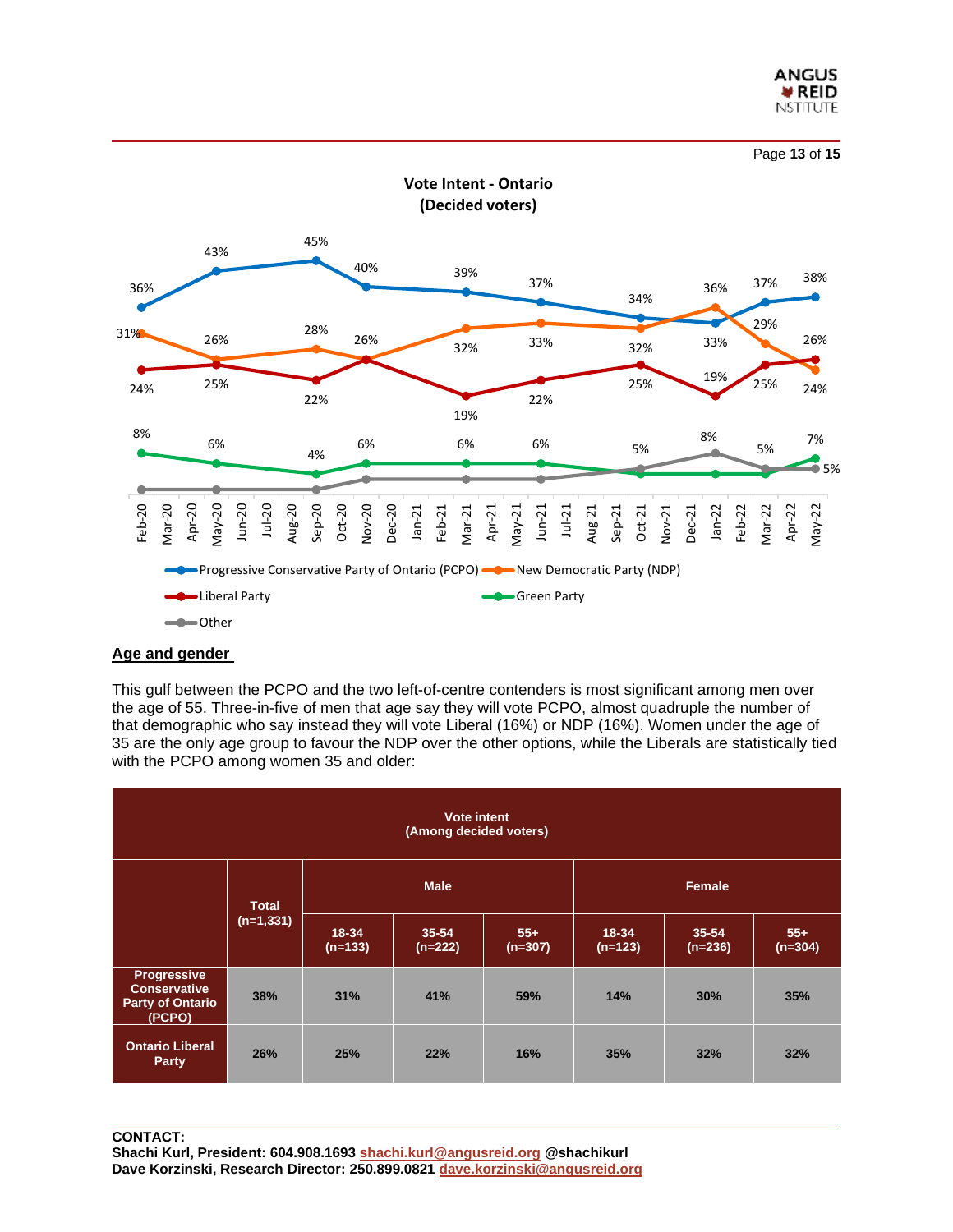



# **Age and gender**

This gulf between the PCPO and the two left-of-centre contenders is most significant among men over the age of 55. Three-in-five of men that age say they will vote PCPO, almost quadruple the number of that demographic who say instead they will vote Liberal (16%) or NDP (16%). Women under the age of 35 are the only age group to favour the NDP over the other options, while the Liberals are statistically tied with the PCPO among women 35 and older:

| Vote intent<br>(Among decided voters)                                          |              |                    |                        |                    |                    |                        |                    |  |  |
|--------------------------------------------------------------------------------|--------------|--------------------|------------------------|--------------------|--------------------|------------------------|--------------------|--|--|
|                                                                                | <b>Total</b> |                    | <b>Male</b>            |                    |                    | Female                 |                    |  |  |
|                                                                                | $(n=1,331)$  | 18-34<br>$(n=133)$ | $35 - 54$<br>$(n=222)$ | $55+$<br>$(n=307)$ | 18-34<br>$(n=123)$ | $35 - 54$<br>$(n=236)$ | $55+$<br>$(n=304)$ |  |  |
| <b>Progressive</b><br><b>Conservative</b><br><b>Party of Ontario</b><br>(PCPO) | 38%          | 31%                | 41%                    | 59%                | 14%                | 30%                    | 35%                |  |  |
| <b>Ontario Liberal</b><br>Party                                                | 26%          | 25%                | 22%                    | 16%                | 35%                | 32%                    | 32%                |  |  |

**CONTACT: Shachi Kurl, President: 604.908.1693 [shachi.kurl@angusreid.org](mailto:shachi.kurl@angusreid.org) @shachikurl Dave Korzinski, Research Director: 250.899.0821 [dave.korzinski@angusreid.org](mailto:dave.korzinski@angusreid.org)**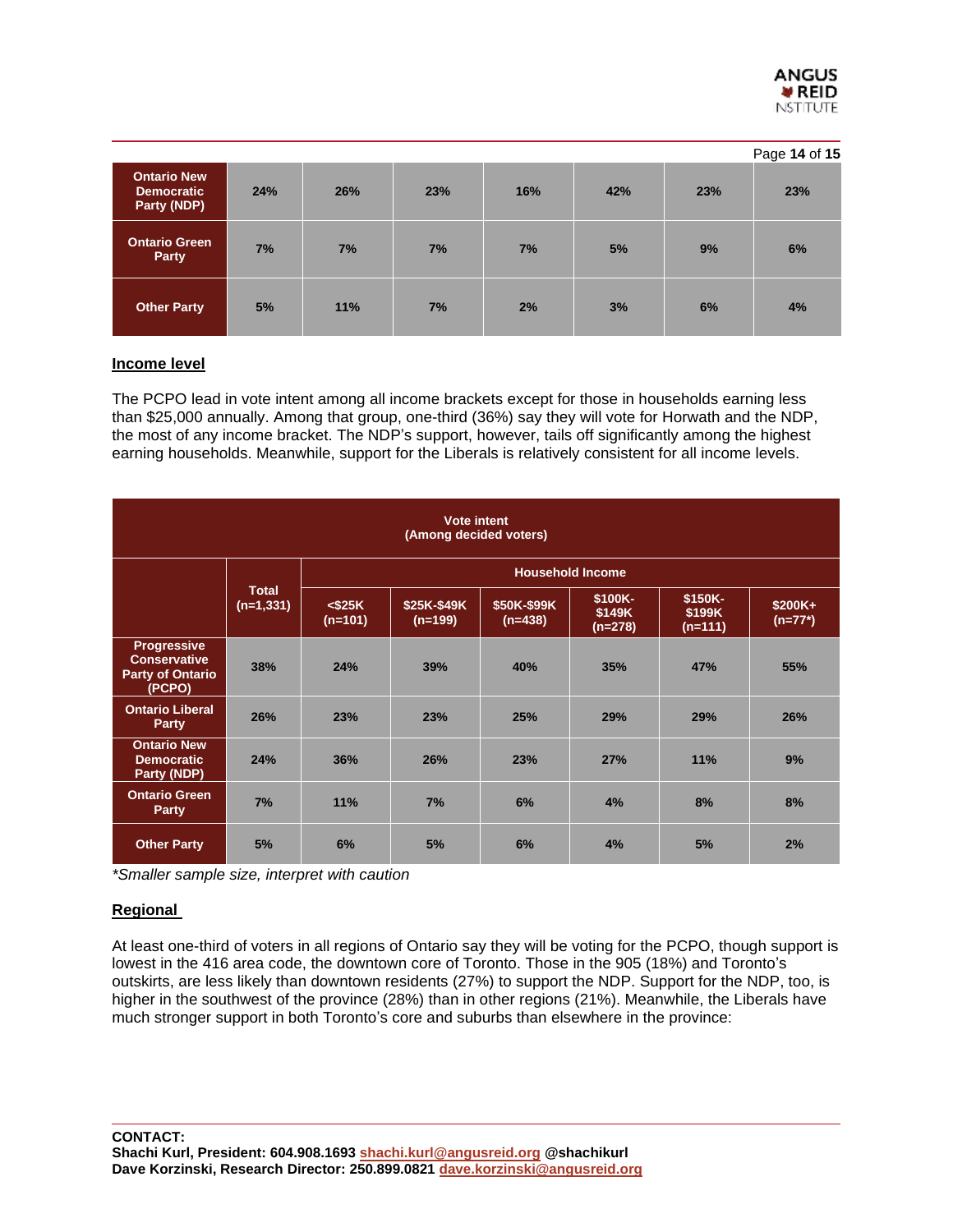

|                                                        |     |     |     |     |     |     | Page 14 of 15 |
|--------------------------------------------------------|-----|-----|-----|-----|-----|-----|---------------|
| <b>Ontario New</b><br><b>Democratic</b><br>Party (NDP) | 24% | 26% | 23% | 16% | 42% | 23% | 23%           |
| <b>Ontario Green</b><br>Party                          | 7%  | 7%  | 7%  | 7%  | 5%  | 9%  | 6%            |
| <b>Other Party</b>                                     | 5%  | 11% | 7%  | 2%  | 3%  | 6%  | 4%            |

# **Income level**

The PCPO lead in vote intent among all income brackets except for those in households earning less than \$25,000 annually. Among that group, one-third (36%) say they will vote for Horwath and the NDP, the most of any income bracket. The NDP's support, however, tails off significantly among the highest earning households. Meanwhile, support for the Liberals is relatively consistent for all income levels.

| <b>Vote intent</b><br>(Among decided voters)                                   |                             |                         |                          |                          |                                |                                |                       |  |  |
|--------------------------------------------------------------------------------|-----------------------------|-------------------------|--------------------------|--------------------------|--------------------------------|--------------------------------|-----------------------|--|--|
|                                                                                | <b>Total</b><br>$(n=1,331)$ | <b>Household Income</b> |                          |                          |                                |                                |                       |  |  |
|                                                                                |                             | $<$ \$25K<br>$(n=101)$  | \$25K-\$49K<br>$(n=199)$ | \$50K-\$99K<br>$(n=438)$ | \$100K-<br>\$149K<br>$(n=278)$ | \$150K-<br>\$199K<br>$(n=111)$ | $$200K+$<br>$(n=77*)$ |  |  |
| <b>Progressive</b><br><b>Conservative</b><br><b>Party of Ontario</b><br>(PCPO) | 38%                         | 24%                     | 39%                      | 40%                      | 35%                            | 47%                            | 55%                   |  |  |
| <b>Ontario Liberal</b><br>Party                                                | 26%                         | 23%                     | 23%                      | 25%                      | 29%                            | 29%                            | 26%                   |  |  |
| <b>Ontario New</b><br><b>Democratic</b><br>Party (NDP)                         | 24%                         | 36%                     | 26%                      | 23%                      | 27%                            | 11%                            | 9%                    |  |  |
| <b>Ontario Green</b><br>Party                                                  | 7%                          | 11%                     | 7%                       | 6%                       | 4%                             | 8%                             | 8%                    |  |  |
| <b>Other Party</b>                                                             | 5%                          | 6%                      | 5%                       | 6%                       | 4%                             | 5%                             | 2%                    |  |  |

*\*Smaller sample size, interpret with caution*

# **Regional**

At least one-third of voters in all regions of Ontario say they will be voting for the PCPO, though support is lowest in the 416 area code, the downtown core of Toronto. Those in the 905 (18%) and Toronto's outskirts, are less likely than downtown residents (27%) to support the NDP. Support for the NDP, too, is higher in the southwest of the province (28%) than in other regions (21%). Meanwhile, the Liberals have much stronger support in both Toronto's core and suburbs than elsewhere in the province: